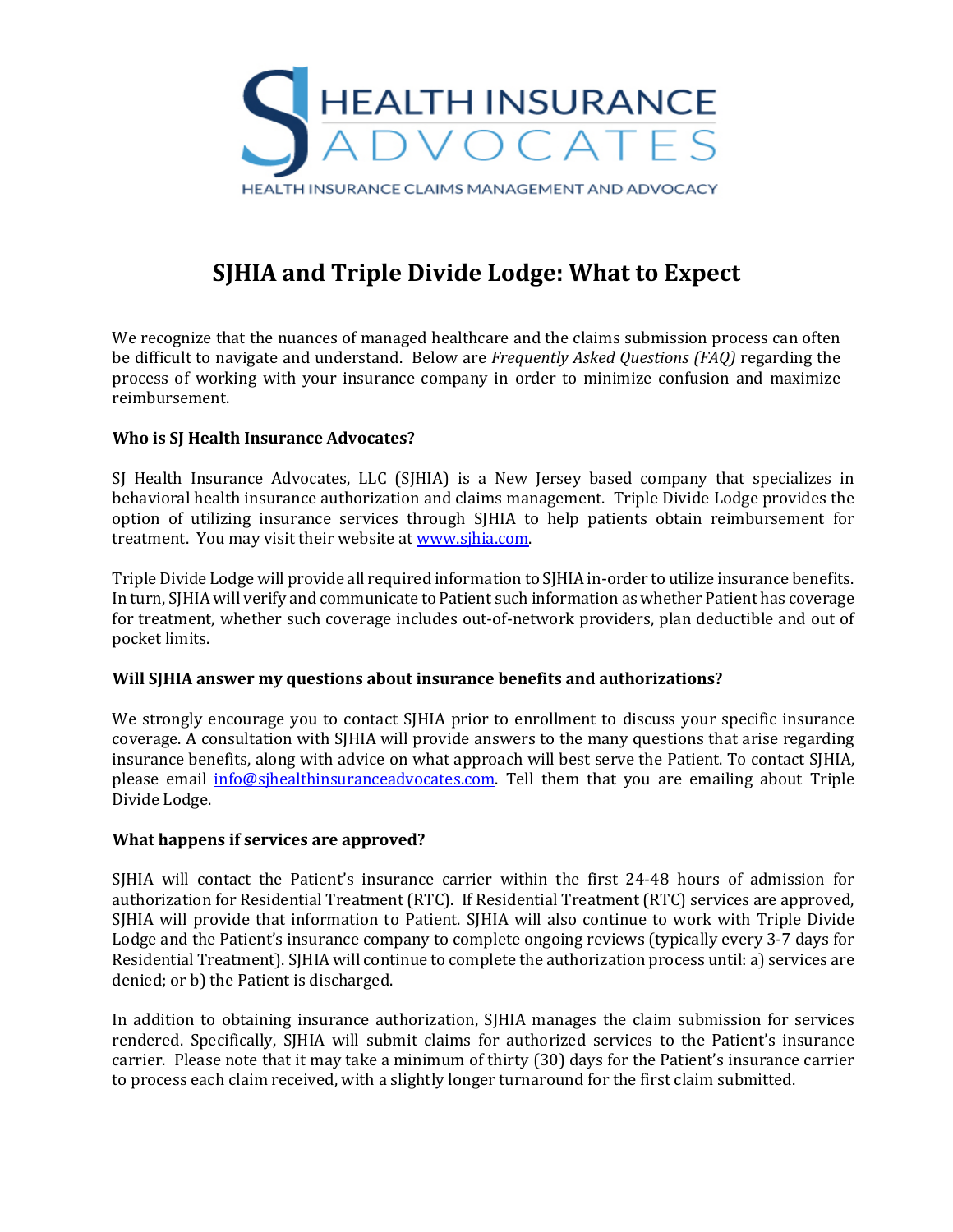

# **SJHIA and Triple Divide Lodge: What to Expect**

We recognize that the nuances of managed healthcare and the claims submission process can often be difficult to navigate and understand. Below are *Frequently Asked Questions (FAQ)* regarding the process of working with your insurance company in order to minimize confusion and maximize reimbursement.

## **Who is SJ Health Insurance Advocates?**

SJ Health Insurance Advocates, LLC (SJHIA) is a New Jersey based company that specializes in behavioral health insurance authorization and claims management. Triple Divide Lodge provides the option of utilizing insurance services through SJHIA to help patients obtain reimbursement for treatment. You may visit their website at www.sjhia.com.

Triple Divide Lodge will provide all required information to SJHIA in-order to utilize insurance benefits. In turn, SJHIA will verify and communicate to Patient such information as whether Patient has coverage for treatment, whether such coverage includes out-of-network providers, plan deductible and out of pocket limits.

## **Will SJHIA answer my questions about insurance benefits and authorizations?**

We strongly encourage you to contact SJHIA prior to enrollment to discuss your specific insurance coverage. A consultation with SIHIA will provide answers to the many questions that arise regarding insurance benefits, along with advice on what approach will best serve the Patient. To contact SJHIA, please email *info@sjhealthinsuranceadvocates.com*. Tell them that you are emailing about Triple Divide Lodge.

## **What happens if services are approved?**

SJHIA will contact the Patient's insurance carrier within the first 24-48 hours of admission for authorization for Residential Treatment (RTC). If Residential Treatment (RTC) services are approved, SJHIA will provide that information to Patient. SJHIA will also continue to work with Triple Divide Lodge and the Patient's insurance company to complete ongoing reviews (typically every 3-7 days for Residential Treatment). SJHIA will continue to complete the authorization process until: a) services are denied; or b) the Patient is discharged.

In addition to obtaining insurance authorization, SJHIA manages the claim submission for services rendered. Specifically, SJHIA will submit claims for authorized services to the Patient's insurance carrier. Please note that it may take a minimum of thirty (30) days for the Patient's insurance carrier to process each claim received, with a slightly longer turnaround for the first claim submitted.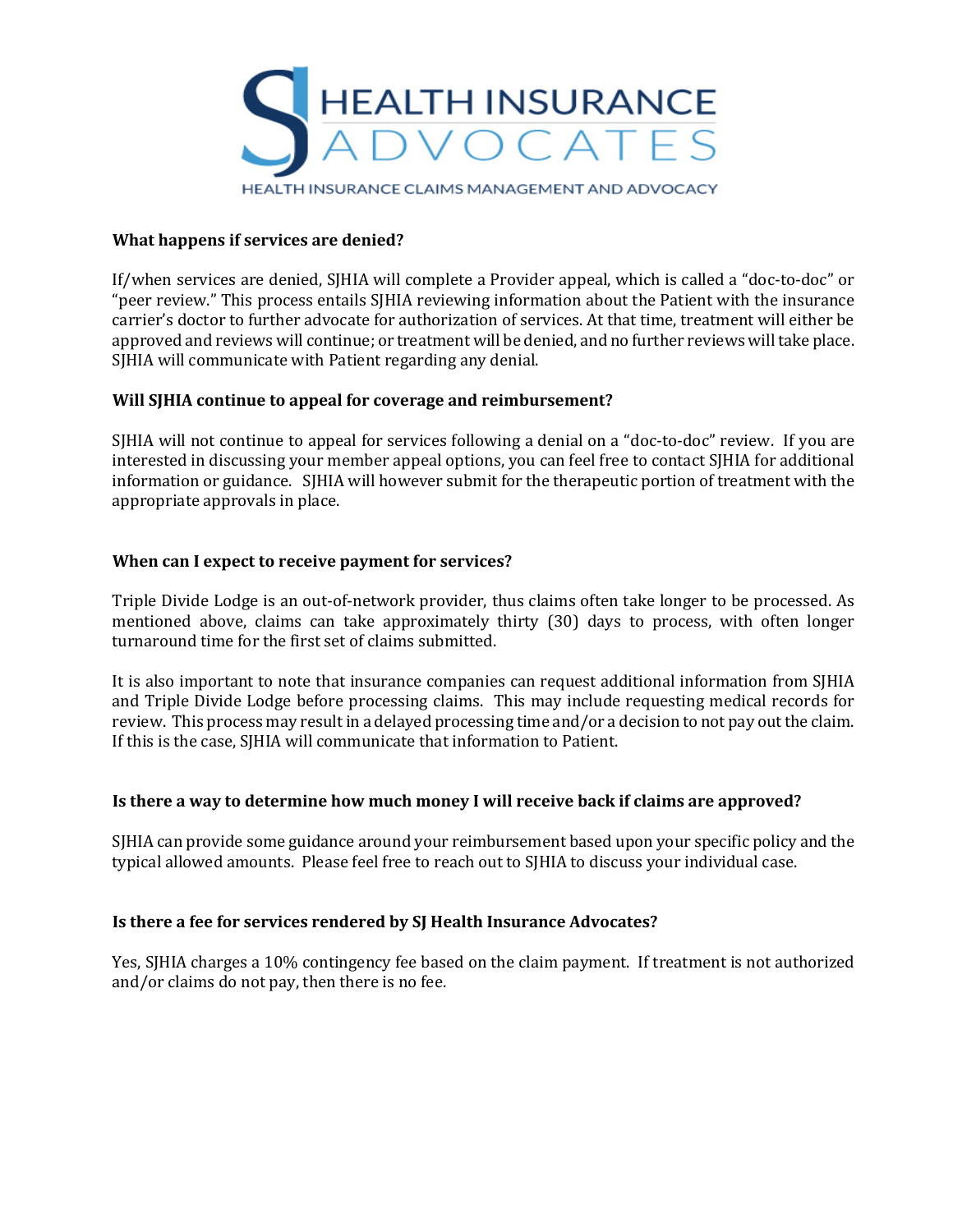

HEALTH INSURANCE CLAIMS MANAGEMENT AND ADVOCACY

## **What happens if services are denied?**

If/when services are denied, SJHIA will complete a Provider appeal, which is called a "doc-to-doc" or "peer review." This process entails SJHIA reviewing information about the Patient with the insurance carrier's doctor to further advocate for authorization of services. At that time, treatment will either be approved and reviews will continue; or treatment will be denied, and no further reviews will take place. SJHIA will communicate with Patient regarding any denial.

## **Will SJHIA continue to appeal for coverage and reimbursement?**

SJHIA will not continue to appeal for services following a denial on a "doc-to-doc" review. If you are interested in discussing your member appeal options, you can feel free to contact SJHIA for additional information or guidance. S[HIA will however submit for the therapeutic portion of treatment with the appropriate approvals in place.

## **When can I expect to receive payment for services?**

Triple Divide Lodge is an out-of-network provider, thus claims often take longer to be processed. As mentioned above, claims can take approximately thirty (30) days to process, with often longer turnaround time for the first set of claims submitted.

It is also important to note that insurance companies can request additional information from SJHIA and Triple Divide Lodge before processing claims. This may include requesting medical records for review. This process may result in a delayed processing time and/or a decision to not pay out the claim. If this is the case, SJHIA will communicate that information to Patient.

## **Is there a way to determine how much money I will receive back if claims are approved?**

SIHIA can provide some guidance around your reimbursement based upon your specific policy and the typical allowed amounts. Please feel free to reach out to SJHIA to discuss your individual case.

## **Is there a fee for services rendered by SJ Health Insurance Advocates?**

Yes, SJHIA charges a 10% contingency fee based on the claim payment. If treatment is not authorized and/or claims do not pay, then there is no fee.